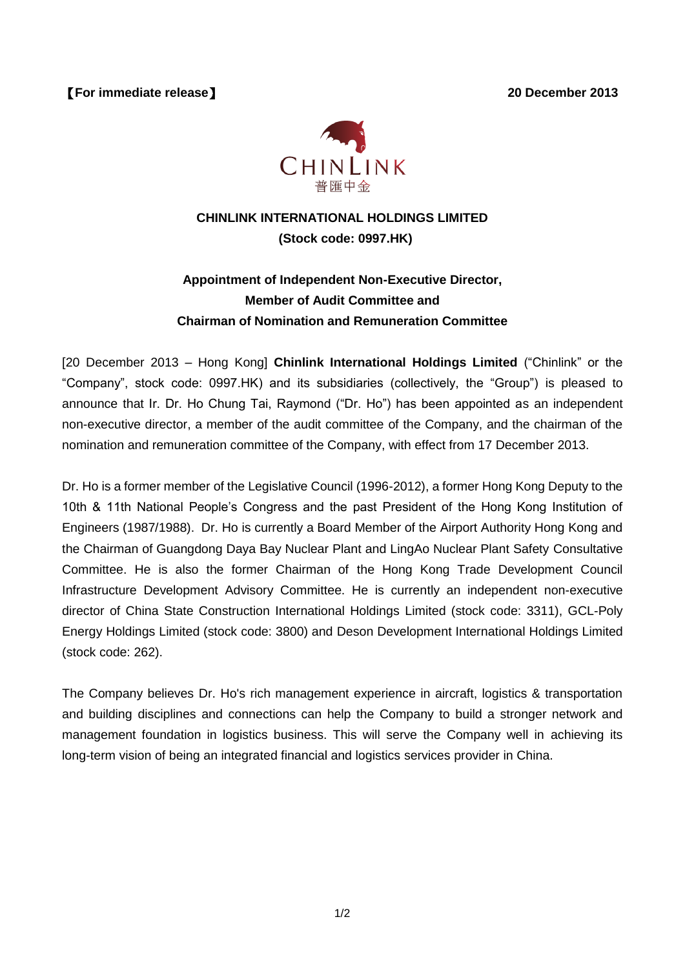【**For immediate release**】 **20 December 2013**



## **CHINLINK INTERNATIONAL HOLDINGS LIMITED (Stock code: 0997.HK)**

## **Appointment of Independent Non-Executive Director, Member of Audit Committee and Chairman of Nomination and Remuneration Committee**

[20 December 2013 – Hong Kong] **Chinlink International Holdings Limited** ("Chinlink" or the "Company", stock code: 0997.HK) and its subsidiaries (collectively, the "Group") is pleased to announce that Ir. Dr. Ho Chung Tai, Raymond ("Dr. Ho") has been appointed as an independent non-executive director, a member of the audit committee of the Company, and the chairman of the nomination and remuneration committee of the Company, with effect from 17 December 2013.

Dr. Ho is a former member of the Legislative Council (1996-2012), a former Hong Kong Deputy to the 10th & 11th National People's Congress and the past President of the Hong Kong Institution of Engineers (1987/1988). Dr. Ho is currently a Board Member of the Airport Authority Hong Kong and the Chairman of Guangdong Daya Bay Nuclear Plant and LingAo Nuclear Plant Safety Consultative Committee. He is also the former Chairman of the Hong Kong Trade Development Council Infrastructure Development Advisory Committee. He is currently an independent non-executive director of China State Construction International Holdings Limited (stock code: 3311), GCL-Poly Energy Holdings Limited (stock code: 3800) and Deson Development International Holdings Limited (stock code: 262).

The Company believes Dr. Ho's rich management experience in aircraft, logistics & transportation and building disciplines and connections can help the Company to build a stronger network and management foundation in logistics business. This will serve the Company well in achieving its long-term vision of being an integrated financial and logistics services provider in China.